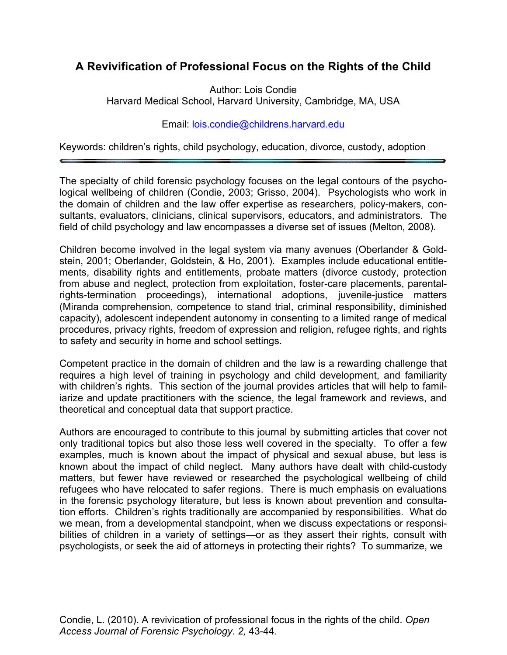## **A Revivification of Professional Focus on the Rights of the Child**

Author: Lois Condie Harvard Medical School, Harvard University, Cambridge, MA, USA

## Email: lois.condie@childrens.harvard.edu

Keywords: children's rights, child psychology, education, divorce, custody, adoption

The specialty of child forensic psychology focuses on the legal contours of the psychological wellbeing of children (Condie, 2003; Grisso, 2004). Psychologists who work in the domain of children and the law offer expertise as researchers, policy-makers, consultants, evaluators, clinicians, clinical supervisors, educators, and administrators. The field of child psychology and law encompasses a diverse set of issues (Melton, 2008).

Children become involved in the legal system via many avenues (Oberlander & Goldstein, 2001; Oberlander, Goldstein, & Ho, 2001). Examples include educational entitlements, disability rights and entitlements, probate matters (divorce custody, protection from abuse and neglect, protection from exploitation, foster-care placements, parentalrights-termination proceedings), international adoptions, juvenile-justice matters (Miranda comprehension, competence to stand trial, criminal responsibility, diminished capacity), adolescent independent autonomy in consenting to a limited range of medical procedures, privacy rights, freedom of expression and religion, refugee rights, and rights to safety and security in home and school settings.

Competent practice in the domain of children and the law is a rewarding challenge that requires a high level of training in psychology and child development, and familiarity with children's rights. This section of the journal provides articles that will help to familiarize and update practitioners with the science, the legal framework and reviews, and theoretical and conceptual data that support practice.

Authors are encouraged to contribute to this journal by submitting articles that cover not only traditional topics but also those less well covered in the specialty. To offer a few examples, much is known about the impact of physical and sexual abuse, but less is known about the impact of child neglect. Many authors have dealt with child-custody matters, but fewer have reviewed or researched the psychological wellbeing of child refugees who have relocated to safer regions. There is much emphasis on evaluations in the forensic psychology literature, but less is known about prevention and consultation efforts. Children's rights traditionally are accompanied by responsibilities. What do we mean, from a developmental standpoint, when we discuss expectations or responsibilities of children in a variety of settings—or as they assert their rights, consult with psychologists, or seek the aid of attorneys in protecting their rights? To summarize, we